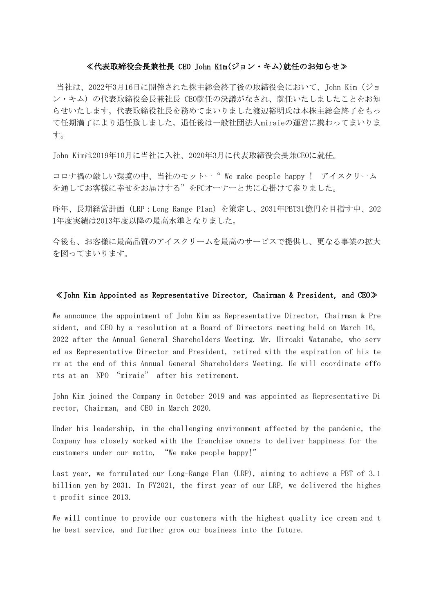## ≪代表取締役会長兼社長 CEO John Kim(ジョン・キム)就任のお知らせ≫

当社は、2022年3月16日に開催された株主総会終了後の取締役会において、John Kim(ジョ ン・キム)の代表取締役会長兼社長 CEO就任の決議がなされ、就任いたしましたことをお知 らせいたします。代表取締役社長を務めてまいりました渡辺裕明氏は本株主総会終了をもっ て任期満了により退任致しました。退任後は一般社団法人miraieの運営に携わってまいりま す。

John Kimは2019年10月に当社に入社、2020年3月に代表取締役会長兼CEOに就任。

コロナ禍の厳しい環境の中、当社のモットー" We make people happy ! アイスクリーム を通してお客様に幸せをお届けする"をFCオーナーと共に心掛けて参りました。

昨年、長期経営計画(LRP:Long Range Plan)を策定し、2031年PBT31億円を目指す中、202 1年度実績は2013年度以降の最高水準となりました。

今後も、お客様に最高品質のアイスクリームを最高のサービスで提供し、更なる事業の拡大 を図ってまいります。

## ≪John Kim Appointed as Representative Director, Chairman & President, and CEO≫

We announce the appointment of John Kim as Representative Director, Chairman & Pre sident, and CEO by a resolution at a Board of Directors meeting held on March 16, 2022 after the Annual General Shareholders Meeting. Mr. Hiroaki Watanabe, who serv ed as Representative Director and President, retired with the expiration of his te rm at the end of this Annual General Shareholders Meeting. He will coordinate effo rts at an NPO "miraie" after his retirement.

John Kim joined the Company in October 2019 and was appointed as Representative Di rector, Chairman, and CEO in March 2020.

Under his leadership, in the challenging environment affected by the pandemic, the Company has closely worked with the franchise owners to deliver happiness for the customers under our motto, "We make people happy!"

Last year, we formulated our Long-Range Plan (LRP), aiming to achieve a PBT of 3.1 billion yen by 2031. In FY2021, the first year of our LRP, we delivered the highes t profit since 2013.

We will continue to provide our customers with the highest quality ice cream and t he best service, and further grow our business into the future.